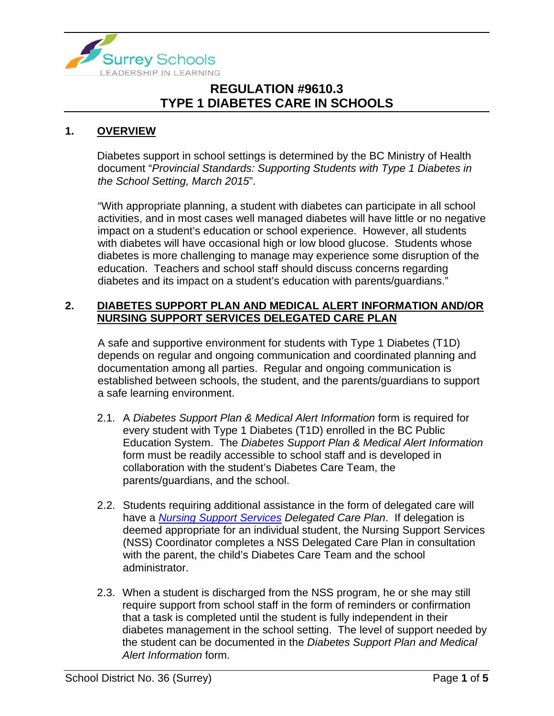

#### **1. OVERVIEW**

Diabetes support in school settings is determined by the BC Ministry of Health document "*Provincial Standards: Supporting Students with Type 1 Diabetes in the School Setting, March 2015*".

"With appropriate planning, a student with diabetes can participate in all school activities, and in most cases well managed diabetes will have little or no negative impact on a student's education or school experience. However, all students with diabetes will have occasional high or low blood glucose. Students whose diabetes is more challenging to manage may experience some disruption of the education. Teachers and school staff should discuss concerns regarding diabetes and its impact on a student's education with parents/guardians."

#### **2. DIABETES SUPPORT PLAN AND MEDICAL ALERT INFORMATION AND/OR NURSING SUPPORT SERVICES DELEGATED CARE PLAN**

A safe and supportive environment for students with Type 1 Diabetes (T1D) depends on regular and ongoing communication and coordinated planning and documentation among all parties. Regular and ongoing communication is established between schools, the student, and the parents/guardians to support a safe learning environment.

- 2.1. A *Diabetes Support Plan & Medical Alert Information* form is required for every student with Type 1 Diabetes (T1D) enrolled in the BC Public Education System. The *Diabetes Support Plan & Medical Alert Information* form must be readily accessible to school staff and is developed in collaboration with the student's Diabetes Care Team, the parents/guardians, and the school.
- 2.2. Students requiring additional assistance in the form of delegated care will have a *[Nursing Support Services](https://www.surreyschools.ca/departments/EDSC/StudentSupport/SpecialEducation/Documents/NURSING%20SUPPORT%20SERVICES/Nursing%20Support%20Services%20Overview.pdf) Delegated Care Plan*. If delegation is deemed appropriate for an individual student, the Nursing Support Services (NSS) Coordinator completes a NSS Delegated Care Plan in consultation with the parent, the child's Diabetes Care Team and the school administrator.
- 2.3. When a student is discharged from the NSS program, he or she may still require support from school staff in the form of reminders or confirmation that a task is completed until the student is fully independent in their diabetes management in the school setting. The level of support needed by the student can be documented in the *Diabetes Support Plan and Medical Alert Information* form.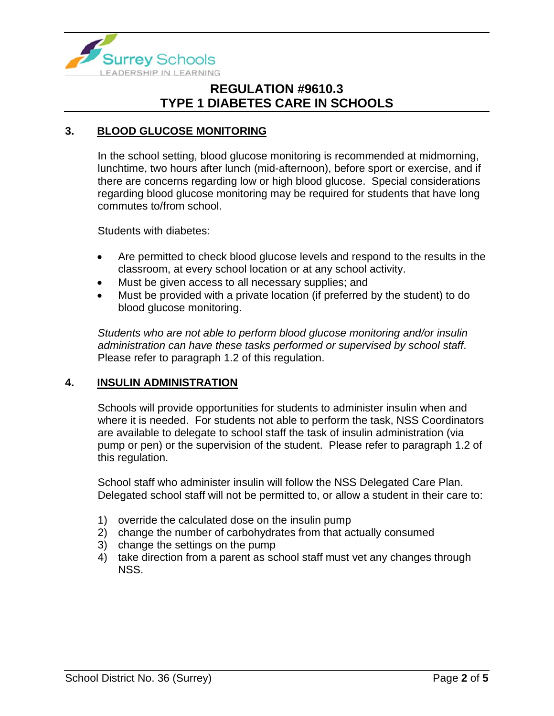

#### **3. BLOOD GLUCOSE MONITORING**

In the school setting, blood glucose monitoring is recommended at midmorning, lunchtime, two hours after lunch (mid-afternoon), before sport or exercise, and if there are concerns regarding low or high blood glucose. Special considerations regarding blood glucose monitoring may be required for students that have long commutes to/from school.

Students with diabetes:

- Are permitted to check blood glucose levels and respond to the results in the classroom, at every school location or at any school activity.
- Must be given access to all necessary supplies; and
- Must be provided with a private location (if preferred by the student) to do blood glucose monitoring.

*Students who are not able to perform blood glucose monitoring and/or insulin administration can have these tasks performed or supervised by school staff*. Please refer to paragraph 1.2 of this regulation.

#### **4. INSULIN ADMINISTRATION**

Schools will provide opportunities for students to administer insulin when and where it is needed. For students not able to perform the task, NSS Coordinators are available to delegate to school staff the task of insulin administration (via pump or pen) or the supervision of the student. Please refer to paragraph 1.2 of this regulation.

School staff who administer insulin will follow the NSS Delegated Care Plan. Delegated school staff will not be permitted to, or allow a student in their care to:

- 1) override the calculated dose on the insulin pump
- 2) change the number of carbohydrates from that actually consumed
- 3) change the settings on the pump
- 4) take direction from a parent as school staff must vet any changes through NSS.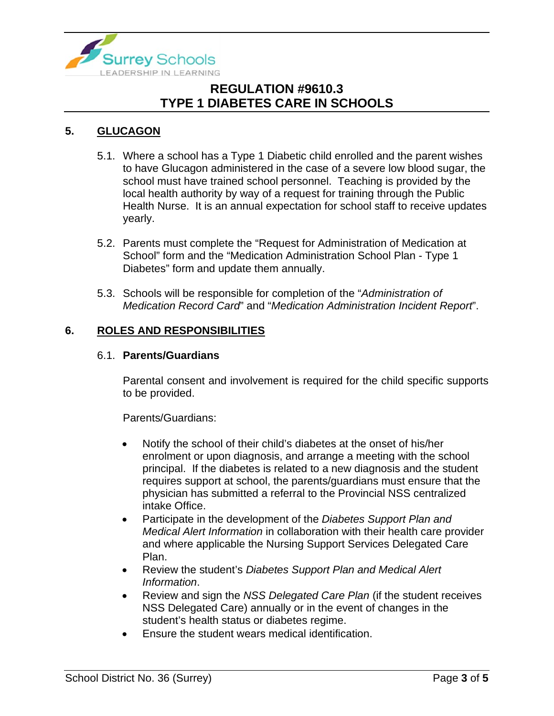

### **5. GLUCAGON**

- 5.1. Where a school has a Type 1 Diabetic child enrolled and the parent wishes to have Glucagon administered in the case of a severe low blood sugar, the school must have trained school personnel. Teaching is provided by the local health authority by way of a request for training through the Public Health Nurse. It is an annual expectation for school staff to receive updates yearly.
- 5.2. Parents must complete the "Request for Administration of Medication at School" form and the "Medication Administration School Plan - Type 1 Diabetes" form and update them annually.
- 5.3. Schools will be responsible for completion of the "*Administration of Medication Record Card*" and "*Medication Administration Incident Report*".

#### **6. ROLES AND RESPONSIBILITIES**

#### 6.1. **Parents/Guardians**

Parental consent and involvement is required for the child specific supports to be provided.

Parents/Guardians:

- Notify the school of their child's diabetes at the onset of his/her enrolment or upon diagnosis, and arrange a meeting with the school principal. If the diabetes is related to a new diagnosis and the student requires support at school, the parents/guardians must ensure that the physician has submitted a referral to the Provincial NSS centralized intake Office.
- Participate in the development of the *Diabetes Support Plan and Medical Alert Information* in collaboration with their health care provider and where applicable the Nursing Support Services Delegated Care Plan.
- Review the student's *Diabetes Support Plan and Medical Alert Information*.
- Review and sign the *NSS Delegated Care Plan* (if the student receives NSS Delegated Care) annually or in the event of changes in the student's health status or diabetes regime.
- Ensure the student wears medical identification.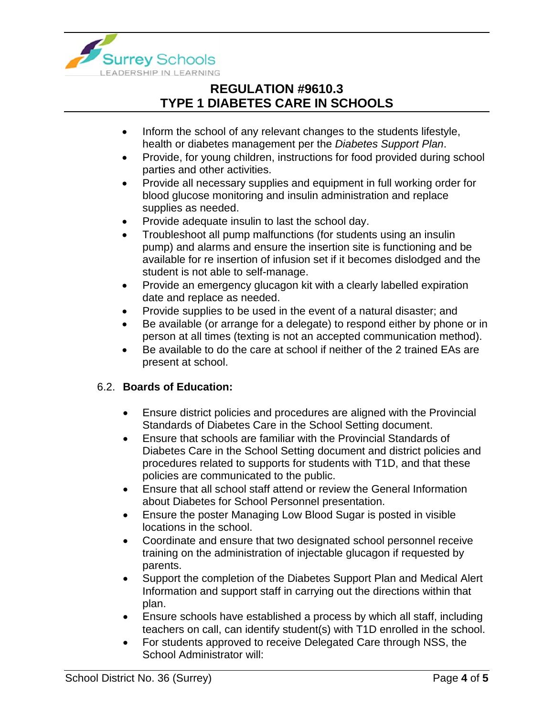

- Inform the school of any relevant changes to the students lifestyle, health or diabetes management per the *Diabetes Support Plan*.
- Provide, for young children, instructions for food provided during school parties and other activities.
- Provide all necessary supplies and equipment in full working order for blood glucose monitoring and insulin administration and replace supplies as needed.
- Provide adequate insulin to last the school day.
- Troubleshoot all pump malfunctions (for students using an insulin pump) and alarms and ensure the insertion site is functioning and be available for re insertion of infusion set if it becomes dislodged and the student is not able to self-manage.
- Provide an emergency glucagon kit with a clearly labelled expiration date and replace as needed.
- Provide supplies to be used in the event of a natural disaster; and
- Be available (or arrange for a delegate) to respond either by phone or in person at all times (texting is not an accepted communication method).
- Be available to do the care at school if neither of the 2 trained EAs are present at school.

### 6.2. **Boards of Education:**

- Ensure district policies and procedures are aligned with the Provincial Standards of Diabetes Care in the School Setting document.
- Ensure that schools are familiar with the Provincial Standards of Diabetes Care in the School Setting document and district policies and procedures related to supports for students with T1D, and that these policies are communicated to the public.
- Ensure that all school staff attend or review the General Information about Diabetes for School Personnel presentation.
- Ensure the poster Managing Low Blood Sugar is posted in visible locations in the school.
- Coordinate and ensure that two designated school personnel receive training on the administration of injectable glucagon if requested by parents.
- Support the completion of the Diabetes Support Plan and Medical Alert Information and support staff in carrying out the directions within that plan.
- Ensure schools have established a process by which all staff, including teachers on call, can identify student(s) with T1D enrolled in the school.
- For students approved to receive Delegated Care through NSS, the School Administrator will: